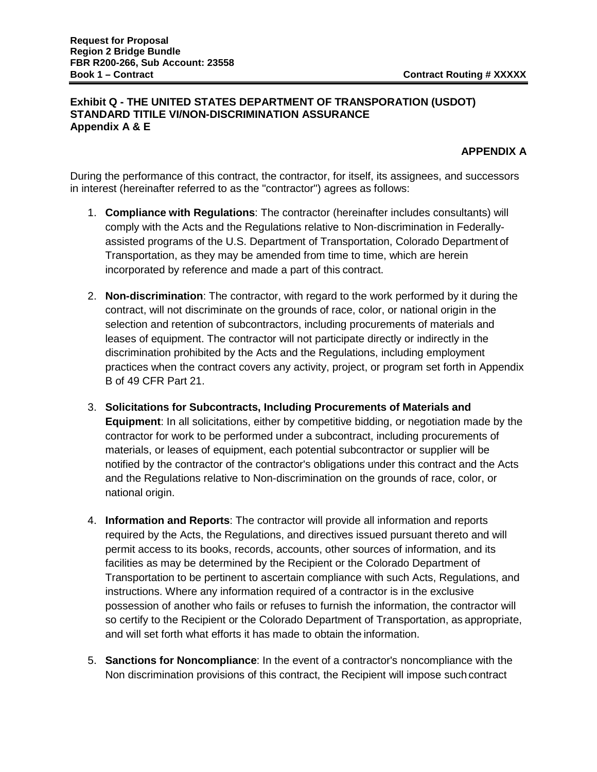## **Exhibit Q - THE UNITED STATES DEPARTMENT OF TRANSPORATION (USDOT) STANDARD TITILE VI/NON-DISCRIMINATION ASSURANCE Appendix A & E**

## **APPENDIX A**

During the performance of this contract, the contractor, for itself, its assignees, and successors in interest (hereinafter referred to as the "contractor") agrees as follows:

- 1. **Compliance with Regulations**: The contractor (hereinafter includes consultants) will comply with the Acts and the Regulations relative to Non-discrimination in Federallyassisted programs of the U.S. Department of Transportation, Colorado Department of Transportation, as they may be amended from time to time, which are herein incorporated by reference and made a part of this contract.
- 2. **Non-discrimination**: The contractor, with regard to the work performed by it during the contract, will not discriminate on the grounds of race, color, or national origin in the selection and retention of subcontractors, including procurements of materials and leases of equipment. The contractor will not participate directly or indirectly in the discrimination prohibited by the Acts and the Regulations, including employment practices when the contract covers any activity, project, or program set forth in Appendix B of 49 CFR Part 21.
- 3. **Solicitations for Subcontracts, Including Procurements of Materials and Equipment**: In all solicitations, either by competitive bidding, or negotiation made by the contractor for work to be performed under a subcontract, including procurements of materials, or leases of equipment, each potential subcontractor or supplier will be notified by the contractor of the contractor's obligations under this contract and the Acts and the Regulations relative to Non-discrimination on the grounds of race, color, or national origin.
- 4. **Information and Reports**: The contractor will provide all information and reports required by the Acts, the Regulations, and directives issued pursuant thereto and will permit access to its books, records, accounts, other sources of information, and its facilities as may be determined by the Recipient or the Colorado Department of Transportation to be pertinent to ascertain compliance with such Acts, Regulations, and instructions. Where any information required of a contractor is in the exclusive possession of another who fails or refuses to furnish the information, the contractor will so certify to the Recipient or the Colorado Department of Transportation, as appropriate, and will set forth what efforts it has made to obtain the information.
- 5. **Sanctions for Noncompliance**: In the event of a contractor's noncompliance with the Non discrimination provisions of this contract, the Recipient will impose such contract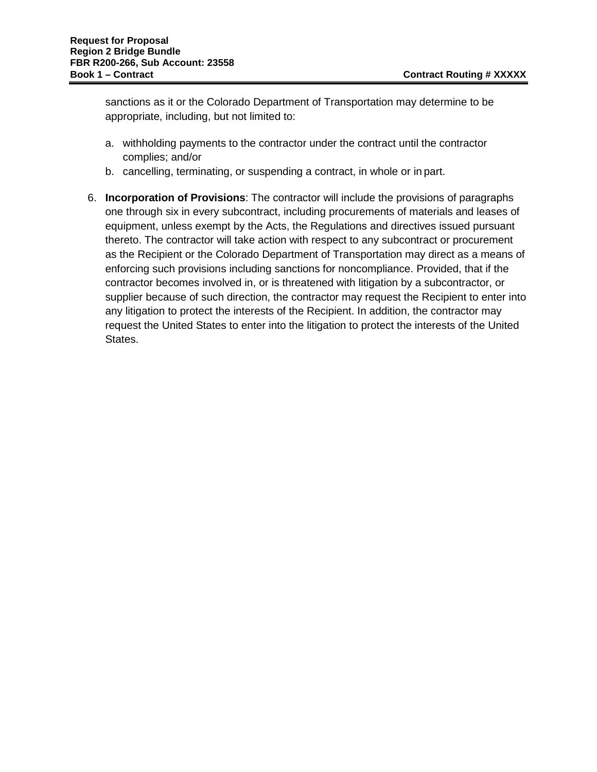sanctions as it or the Colorado Department of Transportation may determine to be appropriate, including, but not limited to:

- a. withholding payments to the contractor under the contract until the contractor complies; and/or
- b. cancelling, terminating, or suspending a contract, in whole or in part.
- 6. **Incorporation of Provisions**: The contractor will include the provisions of paragraphs one through six in every subcontract, including procurements of materials and leases of equipment, unless exempt by the Acts, the Regulations and directives issued pursuant thereto. The contractor will take action with respect to any subcontract or procurement as the Recipient or the Colorado Department of Transportation may direct as a means of enforcing such provisions including sanctions for noncompliance. Provided, that if the contractor becomes involved in, or is threatened with litigation by a subcontractor, or supplier because of such direction, the contractor may request the Recipient to enter into any litigation to protect the interests of the Recipient. In addition, the contractor may request the United States to enter into the litigation to protect the interests of the United States.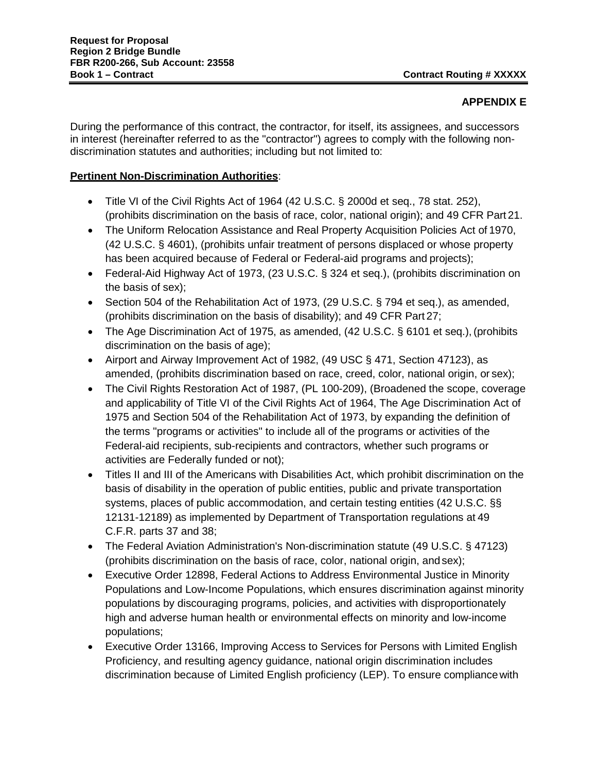## **APPENDIX E**

During the performance of this contract, the contractor, for itself, its assignees, and successors in interest (hereinafter referred to as the "contractor") agrees to comply with the following nondiscrimination statutes and authorities; including but not limited to:

## **Pertinent Non-Discrimination Authorities**:

- Title VI of the Civil Rights Act of 1964 (42 U.S.C. § 2000d et seq., 78 stat. 252), (prohibits discrimination on the basis of race, color, national origin); and 49 CFR Part 21.
- The Uniform Relocation Assistance and Real Property Acquisition Policies Act of 1970, (42 U.S.C. § 4601), (prohibits unfair treatment of persons displaced or whose property has been acquired because of Federal or Federal-aid programs and projects);
- Federal-Aid Highway Act of 1973, (23 U.S.C. § 324 et seq.), (prohibits discrimination on the basis of sex);
- Section 504 of the Rehabilitation Act of 1973, (29 U.S.C. § 794 et seq.), as amended, (prohibits discrimination on the basis of disability); and 49 CFR Part 27;
- The Age Discrimination Act of 1975, as amended, (42 U.S.C. § 6101 et seg.), (prohibits discrimination on the basis of age);
- Airport and Airway Improvement Act of 1982, (49 USC § 471, Section 47123), as amended, (prohibits discrimination based on race, creed, color, national origin, or sex);
- The Civil Rights Restoration Act of 1987, (PL 100-209), (Broadened the scope, coverage and applicability of Title VI of the Civil Rights Act of 1964, The Age Discrimination Act of 1975 and Section 504 of the Rehabilitation Act of 1973, by expanding the definition of the terms "programs or activities" to include all of the programs or activities of the Federal-aid recipients, sub-recipients and contractors, whether such programs or activities are Federally funded or not);
- Titles II and III of the Americans with Disabilities Act, which prohibit discrimination on the basis of disability in the operation of public entities, public and private transportation systems, places of public accommodation, and certain testing entities (42 U.S.C. §§ 12131-12189) as implemented by Department of Transportation regulations at 49 C.F.R. parts 37 and 38;
- The Federal Aviation Administration's Non-discrimination statute (49 U.S.C. § 47123) (prohibits discrimination on the basis of race, color, national origin, andsex);
- Executive Order 12898, Federal Actions to Address Environmental Justice in Minority Populations and Low-Income Populations, which ensures discrimination against minority populations by discouraging programs, policies, and activities with disproportionately high and adverse human health or environmental effects on minority and low-income populations;
- Executive Order 13166, Improving Access to Services for Persons with Limited English Proficiency, and resulting agency guidance, national origin discrimination includes discrimination because of Limited English proficiency (LEP). To ensure compliancewith